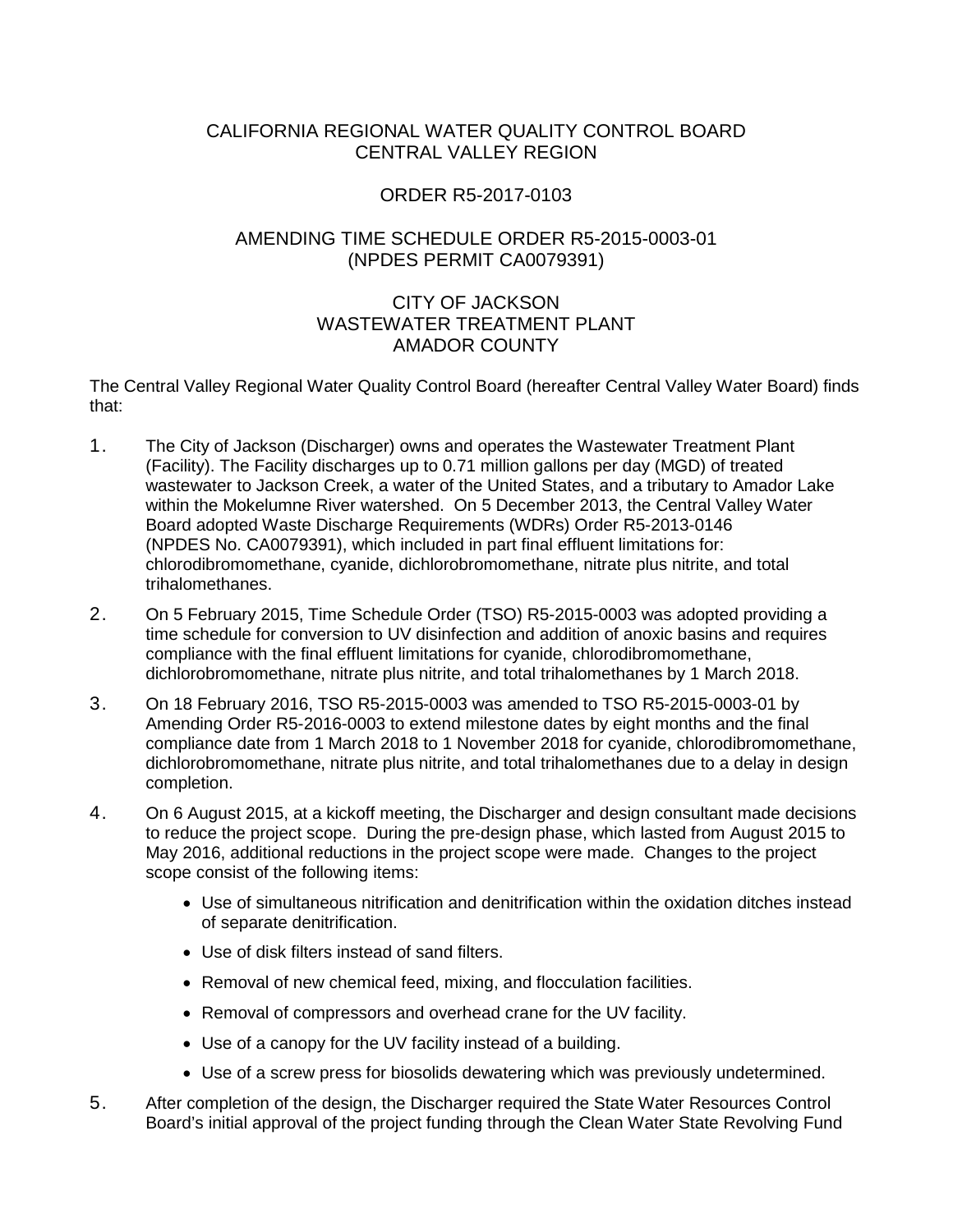## CALIFORNIA REGIONAL WATER QUALITY CONTROL BOARD CENTRAL VALLEY REGION

# ORDER R5-2017-0103

## AMENDING TIME SCHEDULE ORDER R5-2015-0003-01 (NPDES PERMIT CA0079391)

# CITY OF JACKSON WASTEWATER TREATMENT PLANT AMADOR COUNTY

The Central Valley Regional Water Quality Control Board (hereafter Central Valley Water Board) finds that:

- 1. The City of Jackson (Discharger) owns and operates the Wastewater Treatment Plant (Facility). The Facility discharges up to 0.71 million gallons per day (MGD) of treated wastewater to Jackson Creek, a water of the United States, and a tributary to Amador Lake within the Mokelumne River watershed. On 5 December 2013, the Central Valley Water Board adopted Waste Discharge Requirements (WDRs) Order R5-2013-0146 (NPDES No. CA0079391), which included in part final effluent limitations for: chlorodibromomethane, cyanide, dichlorobromomethane, nitrate plus nitrite, and total trihalomethanes.
- 2. On 5 February 2015, Time Schedule Order (TSO) R5-2015-0003 was adopted providing a time schedule for conversion to UV disinfection and addition of anoxic basins and requires compliance with the final effluent limitations for cyanide, chlorodibromomethane, dichlorobromomethane, nitrate plus nitrite, and total trihalomethanes by 1 March 2018.
- 3. On 18 February 2016, TSO R5-2015-0003 was amended to TSO R5-2015-0003-01 by Amending Order R5-2016-0003 to extend milestone dates by eight months and the final compliance date from 1 March 2018 to 1 November 2018 for cyanide, chlorodibromomethane, dichlorobromomethane, nitrate plus nitrite, and total trihalomethanes due to a delay in design completion.
- 4. On 6 August 2015, at a kickoff meeting, the Discharger and design consultant made decisions to reduce the project scope. During the pre-design phase, which lasted from August 2015 to May 2016, additional reductions in the project scope were made. Changes to the project scope consist of the following items:
	- Use of simultaneous nitrification and denitrification within the oxidation ditches instead of separate denitrification.
	- Use of disk filters instead of sand filters.
	- Removal of new chemical feed, mixing, and flocculation facilities.
	- Removal of compressors and overhead crane for the UV facility.
	- Use of a canopy for the UV facility instead of a building.
	- Use of a screw press for biosolids dewatering which was previously undetermined.
- 5. After completion of the design, the Discharger required the State Water Resources Control Board's initial approval of the project funding through the Clean Water State Revolving Fund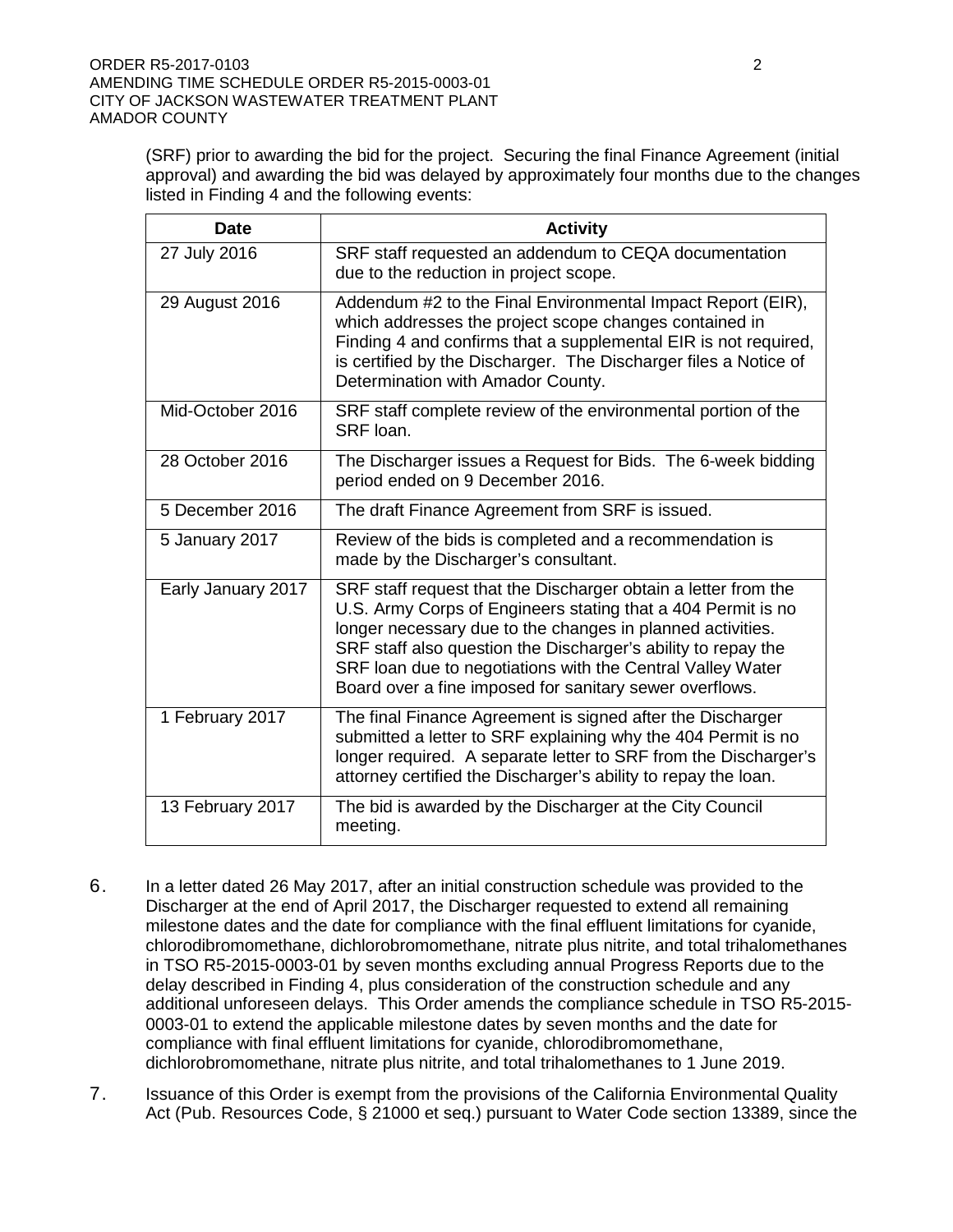(SRF) prior to awarding the bid for the project. Securing the final Finance Agreement (initial approval) and awarding the bid was delayed by approximately four months due to the changes listed in Finding 4 and the following events:

| <b>Date</b>        | <b>Activity</b>                                                                                                                                                                                                                                                                                                                                                                        |
|--------------------|----------------------------------------------------------------------------------------------------------------------------------------------------------------------------------------------------------------------------------------------------------------------------------------------------------------------------------------------------------------------------------------|
| 27 July 2016       | SRF staff requested an addendum to CEQA documentation<br>due to the reduction in project scope.                                                                                                                                                                                                                                                                                        |
| 29 August 2016     | Addendum #2 to the Final Environmental Impact Report (EIR),<br>which addresses the project scope changes contained in<br>Finding 4 and confirms that a supplemental EIR is not required,<br>is certified by the Discharger. The Discharger files a Notice of<br>Determination with Amador County.                                                                                      |
| Mid-October 2016   | SRF staff complete review of the environmental portion of the<br>SRF loan.                                                                                                                                                                                                                                                                                                             |
| 28 October 2016    | The Discharger issues a Request for Bids. The 6-week bidding<br>period ended on 9 December 2016.                                                                                                                                                                                                                                                                                       |
| 5 December 2016    | The draft Finance Agreement from SRF is issued.                                                                                                                                                                                                                                                                                                                                        |
| 5 January 2017     | Review of the bids is completed and a recommendation is<br>made by the Discharger's consultant.                                                                                                                                                                                                                                                                                        |
| Early January 2017 | SRF staff request that the Discharger obtain a letter from the<br>U.S. Army Corps of Engineers stating that a 404 Permit is no<br>longer necessary due to the changes in planned activities.<br>SRF staff also question the Discharger's ability to repay the<br>SRF loan due to negotiations with the Central Valley Water<br>Board over a fine imposed for sanitary sewer overflows. |
| 1 February 2017    | The final Finance Agreement is signed after the Discharger<br>submitted a letter to SRF explaining why the 404 Permit is no<br>longer required. A separate letter to SRF from the Discharger's<br>attorney certified the Discharger's ability to repay the loan.                                                                                                                       |
| 13 February 2017   | The bid is awarded by the Discharger at the City Council<br>meeting.                                                                                                                                                                                                                                                                                                                   |

- 6. In a letter dated 26 May 2017, after an initial construction schedule was provided to the Discharger at the end of April 2017, the Discharger requested to extend all remaining milestone dates and the date for compliance with the final effluent limitations for cyanide, chlorodibromomethane, dichlorobromomethane, nitrate plus nitrite, and total trihalomethanes in TSO R5-2015-0003-01 by seven months excluding annual Progress Reports due to the delay described in Finding 4, plus consideration of the construction schedule and any additional unforeseen delays. This Order amends the compliance schedule in TSO R5-2015- 0003-01 to extend the applicable milestone dates by seven months and the date for compliance with final effluent limitations for cyanide, chlorodibromomethane, dichlorobromomethane, nitrate plus nitrite, and total trihalomethanes to 1 June 2019.
- 7. Issuance of this Order is exempt from the provisions of the California Environmental Quality Act (Pub. Resources Code, § 21000 et seq.) pursuant to Water Code section 13389, since the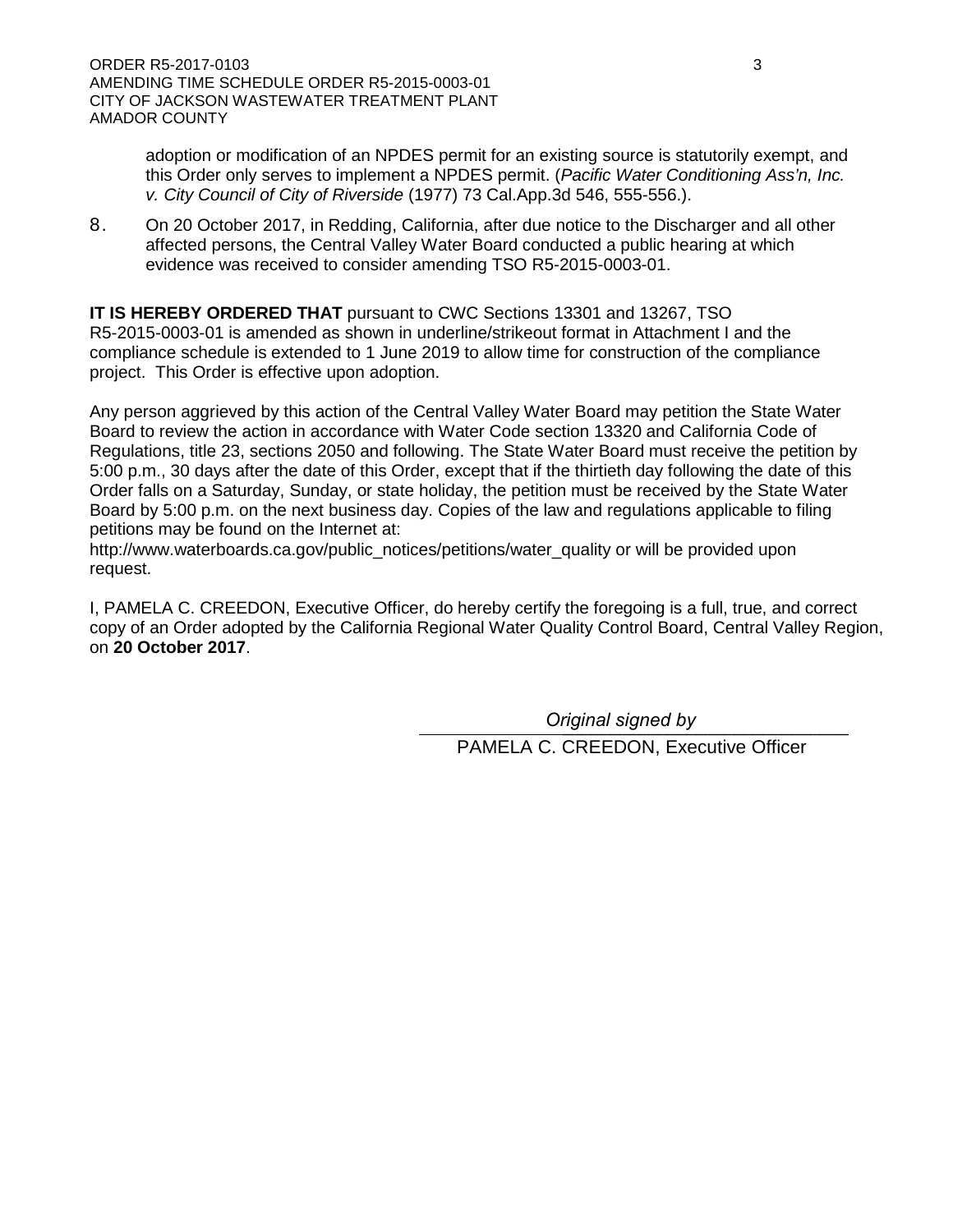adoption or modification of an NPDES permit for an existing source is statutorily exempt, and this Order only serves to implement a NPDES permit. (*Pacific Water Conditioning Ass'n, Inc. v. City Council of City of Riverside* (1977) 73 Cal.App.3d 546, 555-556.).

8. On 20 October 2017, in Redding, California, after due notice to the Discharger and all other affected persons, the Central Valley Water Board conducted a public hearing at which evidence was received to consider amending TSO R5-2015-0003-01.

**IT IS HEREBY ORDERED THAT** pursuant to CWC Sections 13301 and 13267, TSO R5-2015-0003-01 is amended as shown in underline/strikeout format in Attachment I and the compliance schedule is extended to 1 June 2019 to allow time for construction of the compliance project. This Order is effective upon adoption.

Any person aggrieved by this action of the Central Valley Water Board may petition the State Water Board to review the action in accordance with Water Code section 13320 and California Code of Regulations, title 23, sections 2050 and following. The State Water Board must receive the petition by 5:00 p.m., 30 days after the date of this Order, except that if the thirtieth day following the date of this Order falls on a Saturday, Sunday, or state holiday, the petition must be received by the State Water Board by 5:00 p.m. on the next business day. Copies of the law and regulations applicable to filing petitions may be found on the Internet at:

http://www.waterboards.ca.gov/public\_notices/petitions/water\_quality or will be provided upon request.

I, PAMELA C. CREEDON, Executive Officer, do hereby certify the foregoing is a full, true, and correct copy of an Order adopted by the California Regional Water Quality Control Board, Central Valley Region, on **20 October 2017**.

> \_\_\_\_\_\_\_\_\_\_\_\_\_\_\_\_\_\_\_\_\_\_\_\_\_\_\_\_\_\_ *Original signed by*PAMELA C. CREEDON, Executive Officer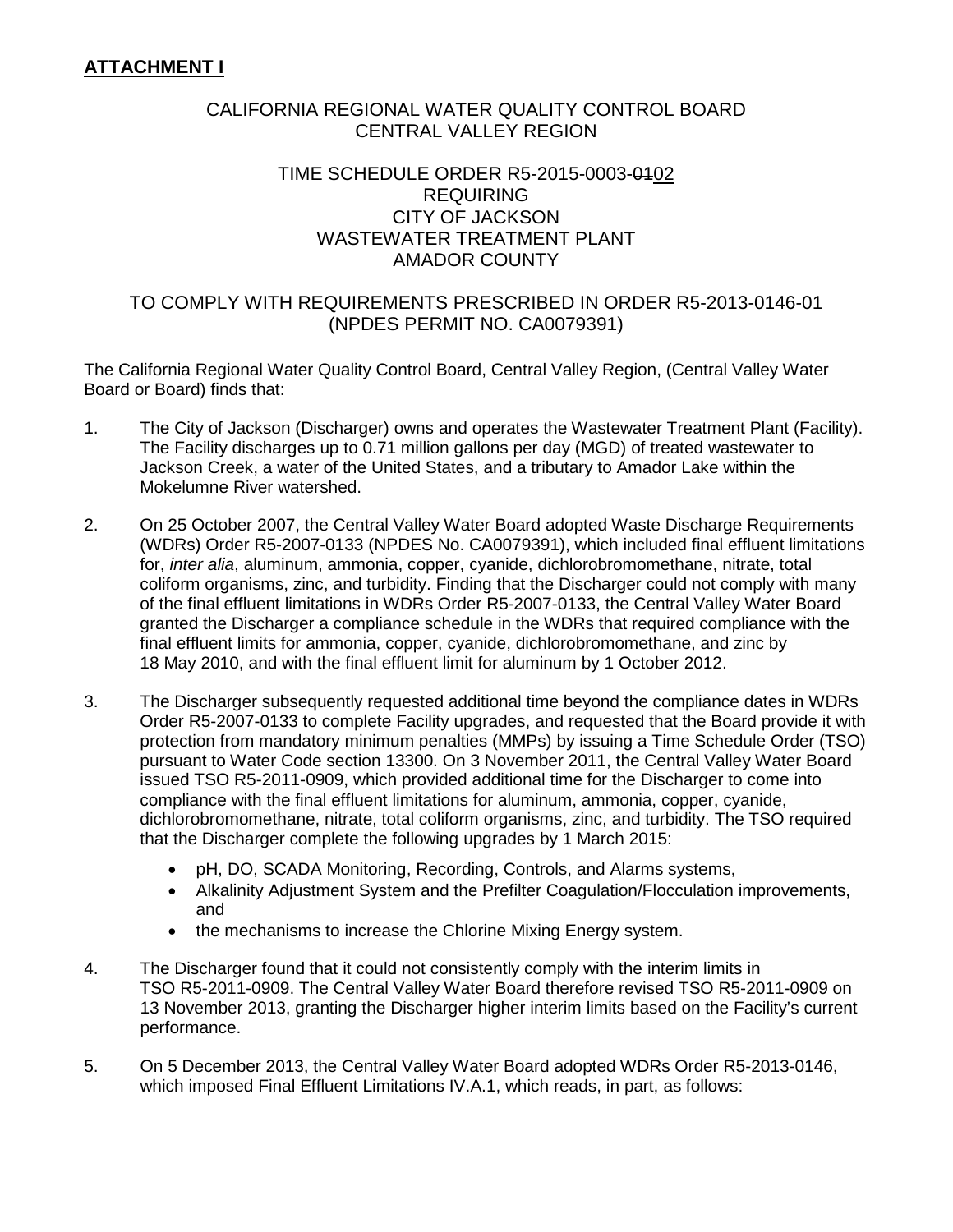## CALIFORNIA REGIONAL WATER QUALITY CONTROL BOARD CENTRAL VALLEY REGION

## TIME SCHEDULE ORDER R5-2015-0003-0102 REQUIRING CITY OF JACKSON WASTEWATER TREATMENT PLANT AMADOR COUNTY

## TO COMPLY WITH REQUIREMENTS PRESCRIBED IN ORDER R5-2013-0146-01 (NPDES PERMIT NO. CA0079391)

The California Regional Water Quality Control Board, Central Valley Region, (Central Valley Water Board or Board) finds that:

- 1. The City of Jackson (Discharger) owns and operates the Wastewater Treatment Plant (Facility). The Facility discharges up to 0.71 million gallons per day (MGD) of treated wastewater to Jackson Creek, a water of the United States, and a tributary to Amador Lake within the Mokelumne River watershed.
- 2. On 25 October 2007, the Central Valley Water Board adopted Waste Discharge Requirements (WDRs) Order R5-2007-0133 (NPDES No. CA0079391), which included final effluent limitations for, *inter alia*, aluminum, ammonia, copper, cyanide, dichlorobromomethane, nitrate, total coliform organisms, zinc, and turbidity. Finding that the Discharger could not comply with many of the final effluent limitations in WDRs Order R5-2007-0133, the Central Valley Water Board granted the Discharger a compliance schedule in the WDRs that required compliance with the final effluent limits for ammonia, copper, cyanide, dichlorobromomethane, and zinc by 18 May 2010, and with the final effluent limit for aluminum by 1 October 2012.
- 3. The Discharger subsequently requested additional time beyond the compliance dates in WDRs Order R5-2007-0133 to complete Facility upgrades, and requested that the Board provide it with protection from mandatory minimum penalties (MMPs) by issuing a Time Schedule Order (TSO) pursuant to Water Code section 13300. On 3 November 2011, the Central Valley Water Board issued TSO R5-2011-0909, which provided additional time for the Discharger to come into compliance with the final effluent limitations for aluminum, ammonia, copper, cyanide, dichlorobromomethane, nitrate, total coliform organisms, zinc, and turbidity. The TSO required that the Discharger complete the following upgrades by 1 March 2015:
	- pH, DO, SCADA Monitoring, Recording, Controls, and Alarms systems,
	- Alkalinity Adjustment System and the Prefilter Coagulation/Flocculation improvements, and
	- the mechanisms to increase the Chlorine Mixing Energy system.
- 4. The Discharger found that it could not consistently comply with the interim limits in TSO R5-2011-0909. The Central Valley Water Board therefore revised TSO R5-2011-0909 on 13 November 2013, granting the Discharger higher interim limits based on the Facility's current performance.
- 5. On 5 December 2013, the Central Valley Water Board adopted WDRs Order R5-2013-0146, which imposed Final Effluent Limitations IV.A.1, which reads, in part, as follows: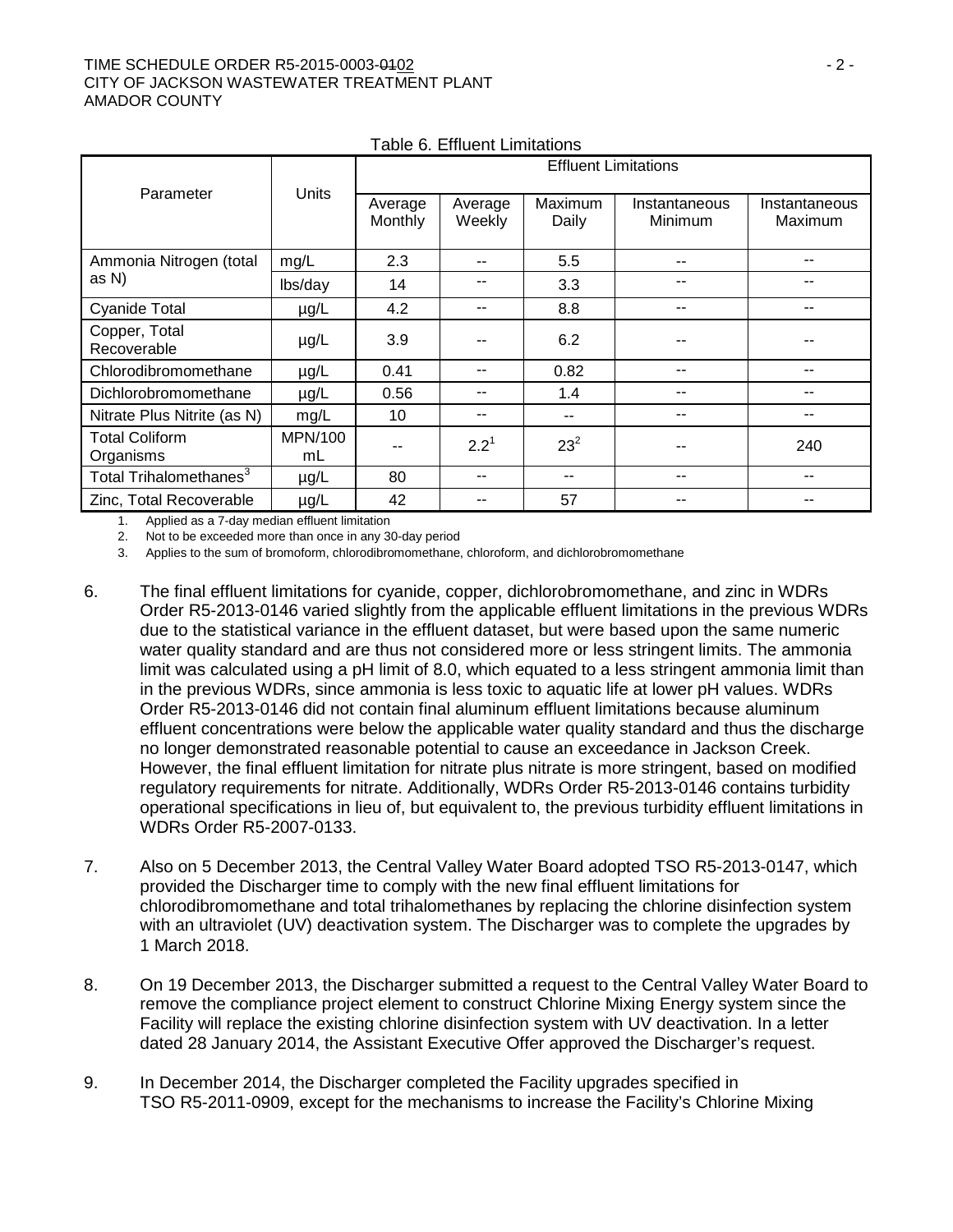### TIME SCHEDULE ORDER R5-2015-0003-0102 - 2 - CITY OF JACKSON WASTEWATER TREATMENT PLANT AMADOR COUNTY

| Parameter                          |               | <b>Effluent Limitations</b> |                   |                  |                          |                          |
|------------------------------------|---------------|-----------------------------|-------------------|------------------|--------------------------|--------------------------|
|                                    | Units         | Average<br>Monthly          | Average<br>Weekly | Maximum<br>Daily | Instantaneous<br>Minimum | Instantaneous<br>Maximum |
| Ammonia Nitrogen (total            | mg/L          | 2.3                         |                   | 5.5              | $- -$                    | --                       |
| as N)                              | lbs/day       | 14                          |                   | 3.3              |                          |                          |
| <b>Cyanide Total</b>               | $\mu$ g/L     | 4.2                         |                   | 8.8              | $- -$                    | --                       |
| Copper, Total<br>Recoverable       | $\mu$ g/L     | 3.9                         |                   | 6.2              |                          |                          |
| Chlorodibromomethane               | $\mu$ g/L     | 0.41                        |                   | 0.82             |                          |                          |
| Dichlorobromomethane               | $\mu$ g/L     | 0.56                        | --                | 1.4              | --                       | --                       |
| Nitrate Plus Nitrite (as N)        | mg/L          | 10                          |                   | --               | $- -$                    | $- -$                    |
| <b>Total Coliform</b><br>Organisms | MPN/100<br>mL |                             | $2.2^1$           | $23^{2}$         |                          | 240                      |
| Total Trihalomethanes <sup>3</sup> | $\mu$ g/L     | 80                          |                   | --               |                          |                          |
| Zinc, Total Recoverable            | $\mu$ g/L     | 42                          |                   | 57               |                          |                          |

Table 6. Effluent Limitations

1. Applied as a 7-day median effluent limitation

2. Not to be exceeded more than once in any 30-day period

3. Applies to the sum of bromoform, chlorodibromomethane, chloroform, and dichlorobromomethane

- 6. The final effluent limitations for cyanide, copper, dichlorobromomethane, and zinc in WDRs Order R5-2013-0146 varied slightly from the applicable effluent limitations in the previous WDRs due to the statistical variance in the effluent dataset, but were based upon the same numeric water quality standard and are thus not considered more or less stringent limits. The ammonia limit was calculated using a pH limit of 8.0, which equated to a less stringent ammonia limit than in the previous WDRs, since ammonia is less toxic to aquatic life at lower pH values. WDRs Order R5-2013-0146 did not contain final aluminum effluent limitations because aluminum effluent concentrations were below the applicable water quality standard and thus the discharge no longer demonstrated reasonable potential to cause an exceedance in Jackson Creek. However, the final effluent limitation for nitrate plus nitrate is more stringent, based on modified regulatory requirements for nitrate. Additionally, WDRs Order R5-2013-0146 contains turbidity operational specifications in lieu of, but equivalent to, the previous turbidity effluent limitations in WDRs Order R5-2007-0133.
- 7. Also on 5 December 2013, the Central Valley Water Board adopted TSO R5-2013-0147, which provided the Discharger time to comply with the new final effluent limitations for chlorodibromomethane and total trihalomethanes by replacing the chlorine disinfection system with an ultraviolet (UV) deactivation system. The Discharger was to complete the upgrades by 1 March 2018.
- 8. On 19 December 2013, the Discharger submitted a request to the Central Valley Water Board to remove the compliance project element to construct Chlorine Mixing Energy system since the Facility will replace the existing chlorine disinfection system with UV deactivation. In a letter dated 28 January 2014, the Assistant Executive Offer approved the Discharger's request.
- 9. In December 2014, the Discharger completed the Facility upgrades specified in TSO R5-2011-0909, except for the mechanisms to increase the Facility's Chlorine Mixing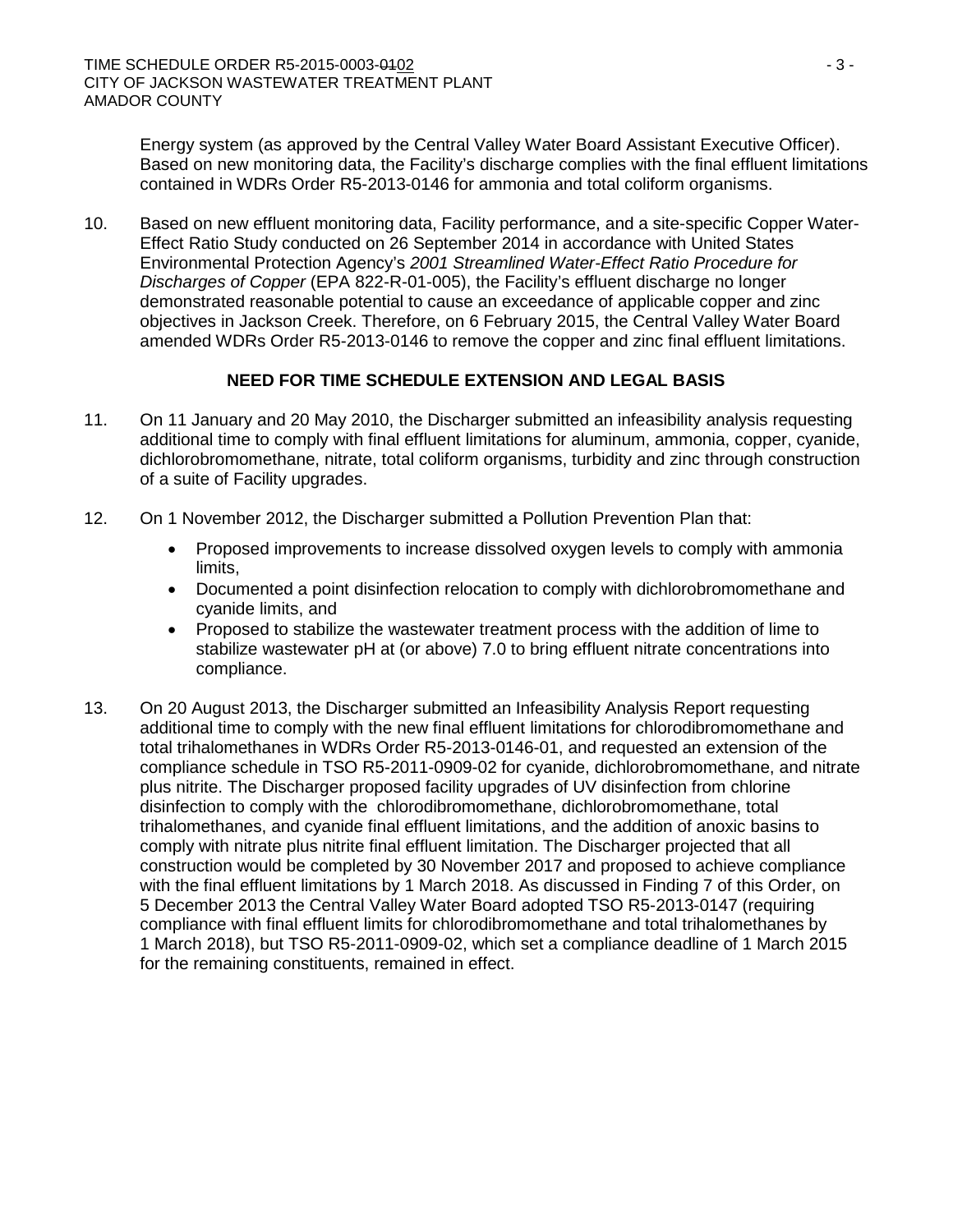Energy system (as approved by the Central Valley Water Board Assistant Executive Officer). Based on new monitoring data, the Facility's discharge complies with the final effluent limitations contained in WDRs Order R5-2013-0146 for ammonia and total coliform organisms.

10. Based on new effluent monitoring data, Facility performance, and a site-specific Copper Water-Effect Ratio Study conducted on 26 September 2014 in accordance with United States Environmental Protection Agency's *2001 Streamlined Water-Effect Ratio Procedure for Discharges of Copper* (EPA 822-R-01-005), the Facility's effluent discharge no longer demonstrated reasonable potential to cause an exceedance of applicable copper and zinc objectives in Jackson Creek. Therefore, on 6 February 2015, the Central Valley Water Board amended WDRs Order R5-2013-0146 to remove the copper and zinc final effluent limitations.

## **NEED FOR TIME SCHEDULE EXTENSION AND LEGAL BASIS**

- 11. On 11 January and 20 May 2010, the Discharger submitted an infeasibility analysis requesting additional time to comply with final effluent limitations for aluminum, ammonia, copper, cyanide, dichlorobromomethane, nitrate, total coliform organisms, turbidity and zinc through construction of a suite of Facility upgrades.
- 12. On 1 November 2012, the Discharger submitted a Pollution Prevention Plan that:
	- Proposed improvements to increase dissolved oxygen levels to comply with ammonia limits,
	- Documented a point disinfection relocation to comply with dichlorobromomethane and cyanide limits, and
	- Proposed to stabilize the wastewater treatment process with the addition of lime to stabilize wastewater pH at (or above) 7.0 to bring effluent nitrate concentrations into compliance.
- 13. On 20 August 2013, the Discharger submitted an Infeasibility Analysis Report requesting additional time to comply with the new final effluent limitations for chlorodibromomethane and total trihalomethanes in WDRs Order R5-2013-0146-01, and requested an extension of the compliance schedule in TSO R5-2011-0909-02 for cyanide, dichlorobromomethane, and nitrate plus nitrite. The Discharger proposed facility upgrades of UV disinfection from chlorine disinfection to comply with the chlorodibromomethane, dichlorobromomethane, total trihalomethanes, and cyanide final effluent limitations, and the addition of anoxic basins to comply with nitrate plus nitrite final effluent limitation. The Discharger projected that all construction would be completed by 30 November 2017 and proposed to achieve compliance with the final effluent limitations by 1 March 2018. As discussed in Finding 7 of this Order, on 5 December 2013 the Central Valley Water Board adopted TSO R5-2013-0147 (requiring compliance with final effluent limits for chlorodibromomethane and total trihalomethanes by 1 March 2018), but TSO R5-2011-0909-02, which set a compliance deadline of 1 March 2015 for the remaining constituents, remained in effect.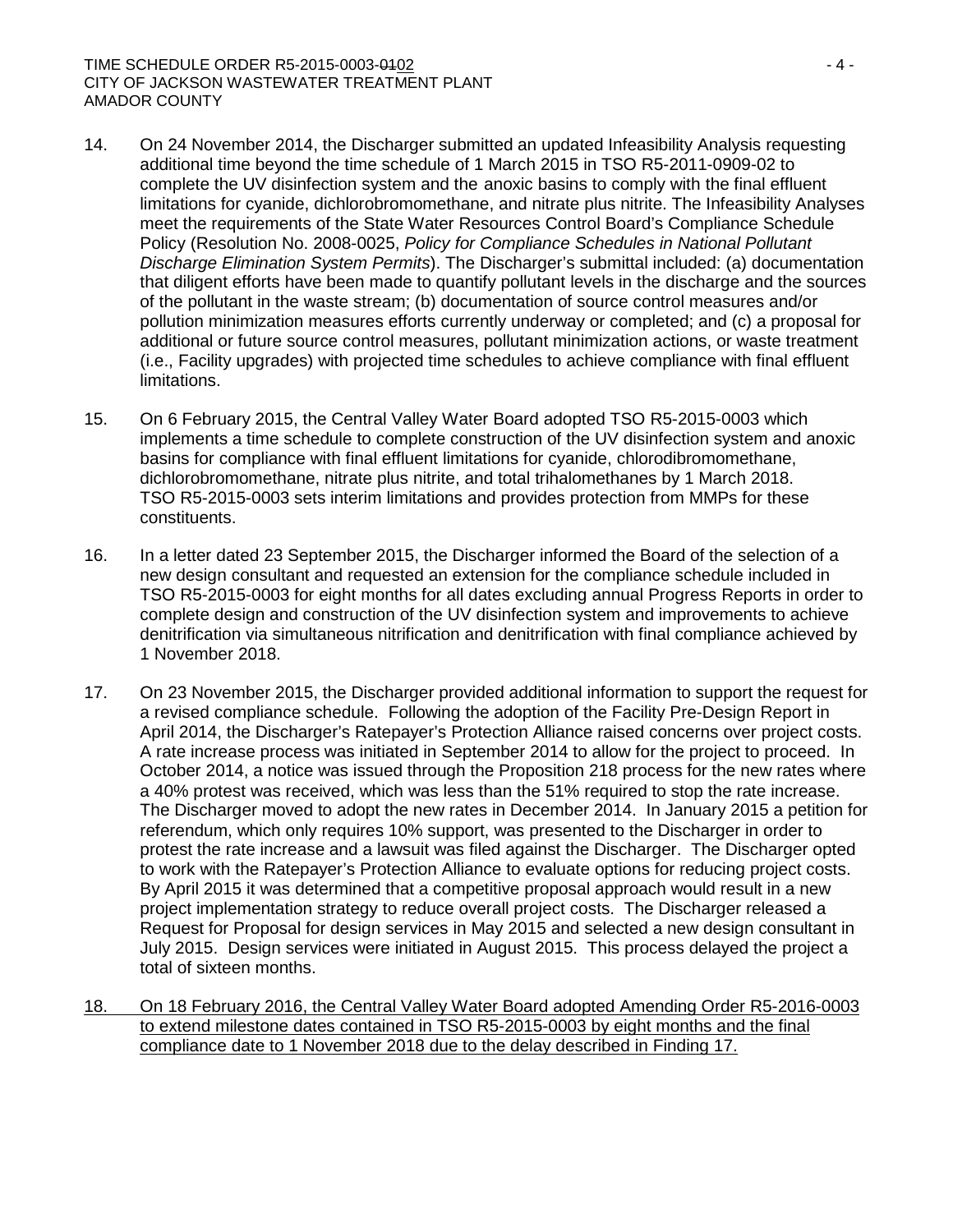### TIME SCHEDULE ORDER R5-2015-0003-0102 - 4 - CITY OF JACKSON WASTEWATER TREATMENT PLANT AMADOR COUNTY

- 14. On 24 November 2014, the Discharger submitted an updated Infeasibility Analysis requesting additional time beyond the time schedule of 1 March 2015 in TSO R5-2011-0909-02 to complete the UV disinfection system and the anoxic basins to comply with the final effluent limitations for cyanide, dichlorobromomethane, and nitrate plus nitrite. The Infeasibility Analyses meet the requirements of the State Water Resources Control Board's Compliance Schedule Policy (Resolution No. 2008-0025, *Policy for Compliance Schedules in National Pollutant Discharge Elimination System Permits*). The Discharger's submittal included: (a) documentation that diligent efforts have been made to quantify pollutant levels in the discharge and the sources of the pollutant in the waste stream; (b) documentation of source control measures and/or pollution minimization measures efforts currently underway or completed; and (c) a proposal for additional or future source control measures, pollutant minimization actions, or waste treatment (i.e., Facility upgrades) with projected time schedules to achieve compliance with final effluent limitations.
- 15. On 6 February 2015, the Central Valley Water Board adopted TSO R5-2015-0003 which implements a time schedule to complete construction of the UV disinfection system and anoxic basins for compliance with final effluent limitations for cyanide, chlorodibromomethane, dichlorobromomethane, nitrate plus nitrite, and total trihalomethanes by 1 March 2018. TSO R5-2015-0003 sets interim limitations and provides protection from MMPs for these constituents.
- 16. In a letter dated 23 September 2015, the Discharger informed the Board of the selection of a new design consultant and requested an extension for the compliance schedule included in TSO R5-2015-0003 for eight months for all dates excluding annual Progress Reports in order to complete design and construction of the UV disinfection system and improvements to achieve denitrification via simultaneous nitrification and denitrification with final compliance achieved by 1 November 2018.
- 17. On 23 November 2015, the Discharger provided additional information to support the request for a revised compliance schedule. Following the adoption of the Facility Pre-Design Report in April 2014, the Discharger's Ratepayer's Protection Alliance raised concerns over project costs. A rate increase process was initiated in September 2014 to allow for the project to proceed. In October 2014, a notice was issued through the Proposition 218 process for the new rates where a 40% protest was received, which was less than the 51% required to stop the rate increase. The Discharger moved to adopt the new rates in December 2014. In January 2015 a petition for referendum, which only requires 10% support, was presented to the Discharger in order to protest the rate increase and a lawsuit was filed against the Discharger. The Discharger opted to work with the Ratepayer's Protection Alliance to evaluate options for reducing project costs. By April 2015 it was determined that a competitive proposal approach would result in a new project implementation strategy to reduce overall project costs. The Discharger released a Request for Proposal for design services in May 2015 and selected a new design consultant in July 2015. Design services were initiated in August 2015. This process delayed the project a total of sixteen months.
- 18. On 18 February 2016, the Central Valley Water Board adopted Amending Order R5-2016-0003 to extend milestone dates contained in TSO R5-2015-0003 by eight months and the final compliance date to 1 November 2018 due to the delay described in Finding 17.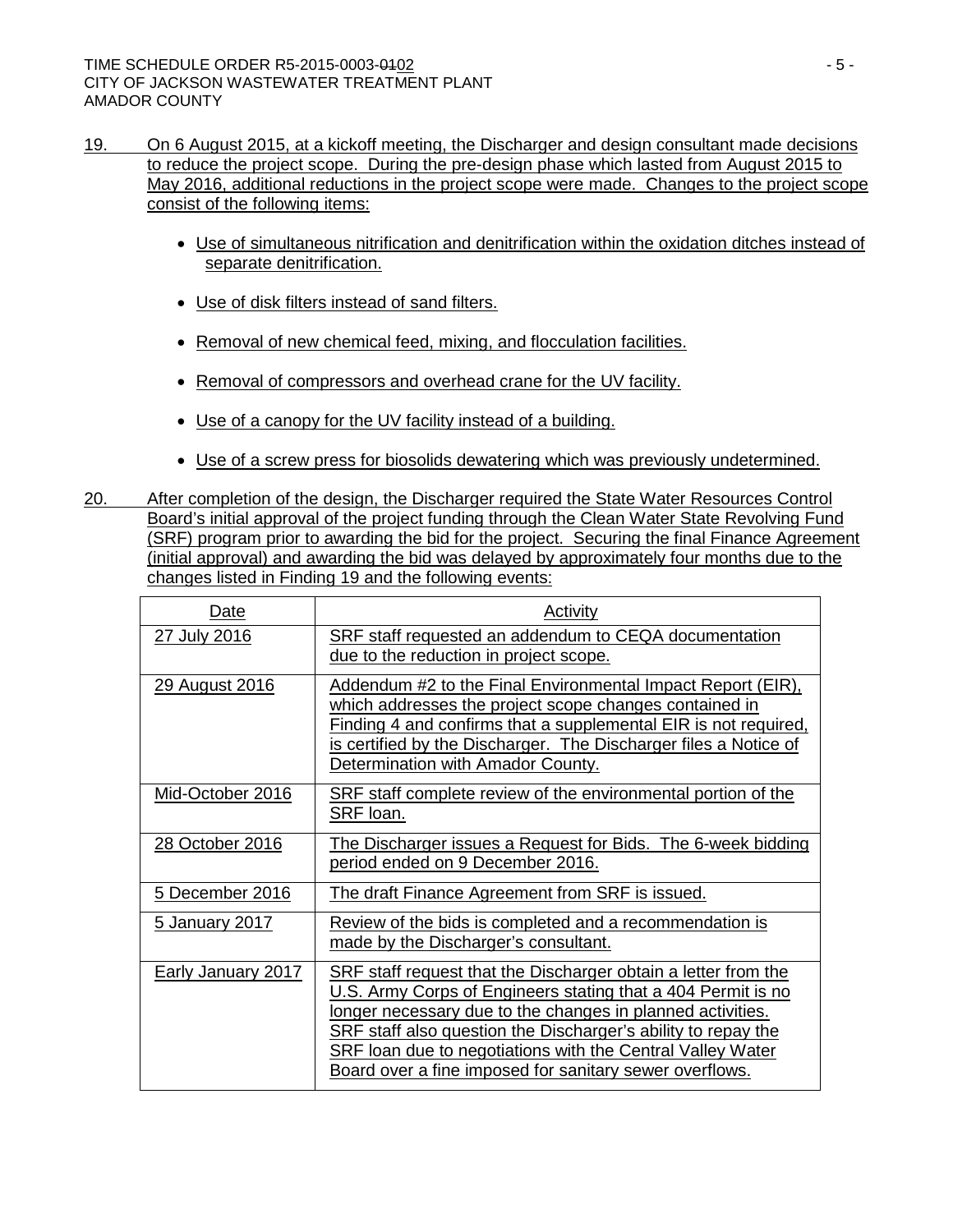- 19. On 6 August 2015, at a kickoff meeting, the Discharger and design consultant made decisions to reduce the project scope. During the pre-design phase which lasted from August 2015 to May 2016, additional reductions in the project scope were made. Changes to the project scope consist of the following items:
	- Use of simultaneous nitrification and denitrification within the oxidation ditches instead of separate denitrification.
	- Use of disk filters instead of sand filters.
	- Removal of new chemical feed, mixing, and flocculation facilities.
	- Removal of compressors and overhead crane for the UV facility.
	- Use of a canopy for the UV facility instead of a building.
	- Use of a screw press for biosolids dewatering which was previously undetermined.
- 20. After completion of the design, the Discharger required the State Water Resources Control Board's initial approval of the project funding through the Clean Water State Revolving Fund (SRF) program prior to awarding the bid for the project. Securing the final Finance Agreement (initial approval) and awarding the bid was delayed by approximately four months due to the changes listed in Finding 19 and the following events:

| Date               | Activity                                                                                                                                                                                                                                                                                                                                                                                             |  |  |  |
|--------------------|------------------------------------------------------------------------------------------------------------------------------------------------------------------------------------------------------------------------------------------------------------------------------------------------------------------------------------------------------------------------------------------------------|--|--|--|
| 27 July 2016       | SRF staff requested an addendum to CEQA documentation<br><u>due to the reduction in project scope.</u>                                                                                                                                                                                                                                                                                               |  |  |  |
| 29 August 2016     | Addendum #2 to the Final Environmental Impact Report (EIR),<br>which addresses the project scope changes contained in<br>Finding 4 and confirms that a supplemental EIR is not required,<br>is certified by the Discharger. The Discharger files a Notice of<br>Determination with Amador County.                                                                                                    |  |  |  |
| Mid-October 2016   | SRF staff complete review of the environmental portion of the<br>SRF loan.                                                                                                                                                                                                                                                                                                                           |  |  |  |
| 28 October 2016    | The Discharger issues a Request for Bids. The 6-week bidding<br><u>period ended on 9 December 2016.</u>                                                                                                                                                                                                                                                                                              |  |  |  |
| 5 December 2016    | The draft Finance Agreement from SRF is issued.                                                                                                                                                                                                                                                                                                                                                      |  |  |  |
| 5 January 2017     | Review of the bids is completed and a recommendation is<br>made by the Discharger's consultant.                                                                                                                                                                                                                                                                                                      |  |  |  |
| Early January 2017 | SRF staff request that the Discharger obtain a letter from the<br>U.S. Army Corps of Engineers stating that a 404 Permit is no<br><u>longer necessary due to the changes in planned activities.</u><br>SRF staff also question the Discharger's ability to repay the<br><b>SRF loan due to negotiations with the Central Valley Water</b><br>Board over a fine imposed for sanitary sewer overflows. |  |  |  |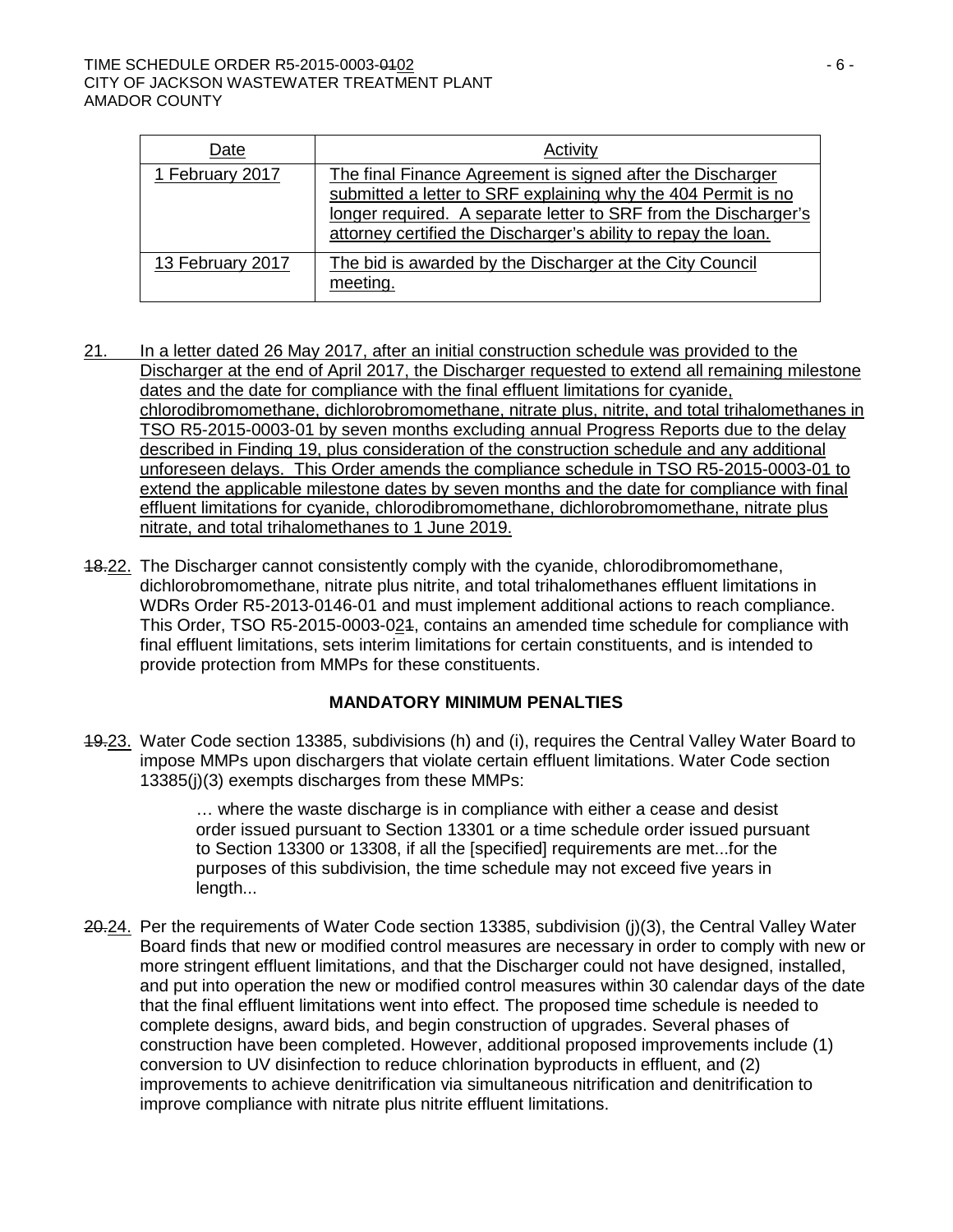### TIME SCHEDULE ORDER R5-2015-0003-0102 - 6 - CITY OF JACKSON WASTEWATER TREATMENT PLANT AMADOR COUNTY

| Date             | Activity                                                                                                                                                                                                                                                         |
|------------------|------------------------------------------------------------------------------------------------------------------------------------------------------------------------------------------------------------------------------------------------------------------|
| 1 February 2017  | The final Finance Agreement is signed after the Discharger<br>submitted a letter to SRF explaining why the 404 Permit is no<br>longer required. A separate letter to SRF from the Discharger's<br>attorney certified the Discharger's ability to repay the loan. |
| 13 February 2017 | The bid is awarded by the Discharger at the City Council<br>meeting.                                                                                                                                                                                             |

- 21. In a letter dated 26 May 2017, after an initial construction schedule was provided to the Discharger at the end of April 2017, the Discharger requested to extend all remaining milestone dates and the date for compliance with the final effluent limitations for cyanide, chlorodibromomethane, dichlorobromomethane, nitrate plus, nitrite, and total trihalomethanes in TSO R5-2015-0003-01 by seven months excluding annual Progress Reports due to the delay described in Finding 19, plus consideration of the construction schedule and any additional unforeseen delays. This Order amends the compliance schedule in TSO R5-2015-0003-01 to extend the applicable milestone dates by seven months and the date for compliance with final effluent limitations for cyanide, chlorodibromomethane, dichlorobromomethane, nitrate plus nitrate, and total trihalomethanes to 1 June 2019.
- 18.22. The Discharger cannot consistently comply with the cyanide, chlorodibromomethane, dichlorobromomethane, nitrate plus nitrite, and total trihalomethanes effluent limitations in WDRs Order R5-2013-0146-01 and must implement additional actions to reach compliance. This Order, TSO R5-2015-0003-021, contains an amended time schedule for compliance with final effluent limitations, sets interim limitations for certain constituents, and is intended to provide protection from MMPs for these constituents.

### **MANDATORY MINIMUM PENALTIES**

19.23. Water Code section 13385, subdivisions (h) and (i), requires the Central Valley Water Board to impose MMPs upon dischargers that violate certain effluent limitations. Water Code section 13385(j)(3) exempts discharges from these MMPs:

> … where the waste discharge is in compliance with either a cease and desist order issued pursuant to Section 13301 or a time schedule order issued pursuant to Section 13300 or 13308, if all the [specified] requirements are met...for the purposes of this subdivision, the time schedule may not exceed five years in length...

20.24. Per the requirements of Water Code section 13385, subdivision (i)(3), the Central Valley Water Board finds that new or modified control measures are necessary in order to comply with new or more stringent effluent limitations, and that the Discharger could not have designed, installed, and put into operation the new or modified control measures within 30 calendar days of the date that the final effluent limitations went into effect. The proposed time schedule is needed to complete designs, award bids, and begin construction of upgrades. Several phases of construction have been completed. However, additional proposed improvements include (1) conversion to UV disinfection to reduce chlorination byproducts in effluent, and (2) improvements to achieve denitrification via simultaneous nitrification and denitrification to improve compliance with nitrate plus nitrite effluent limitations.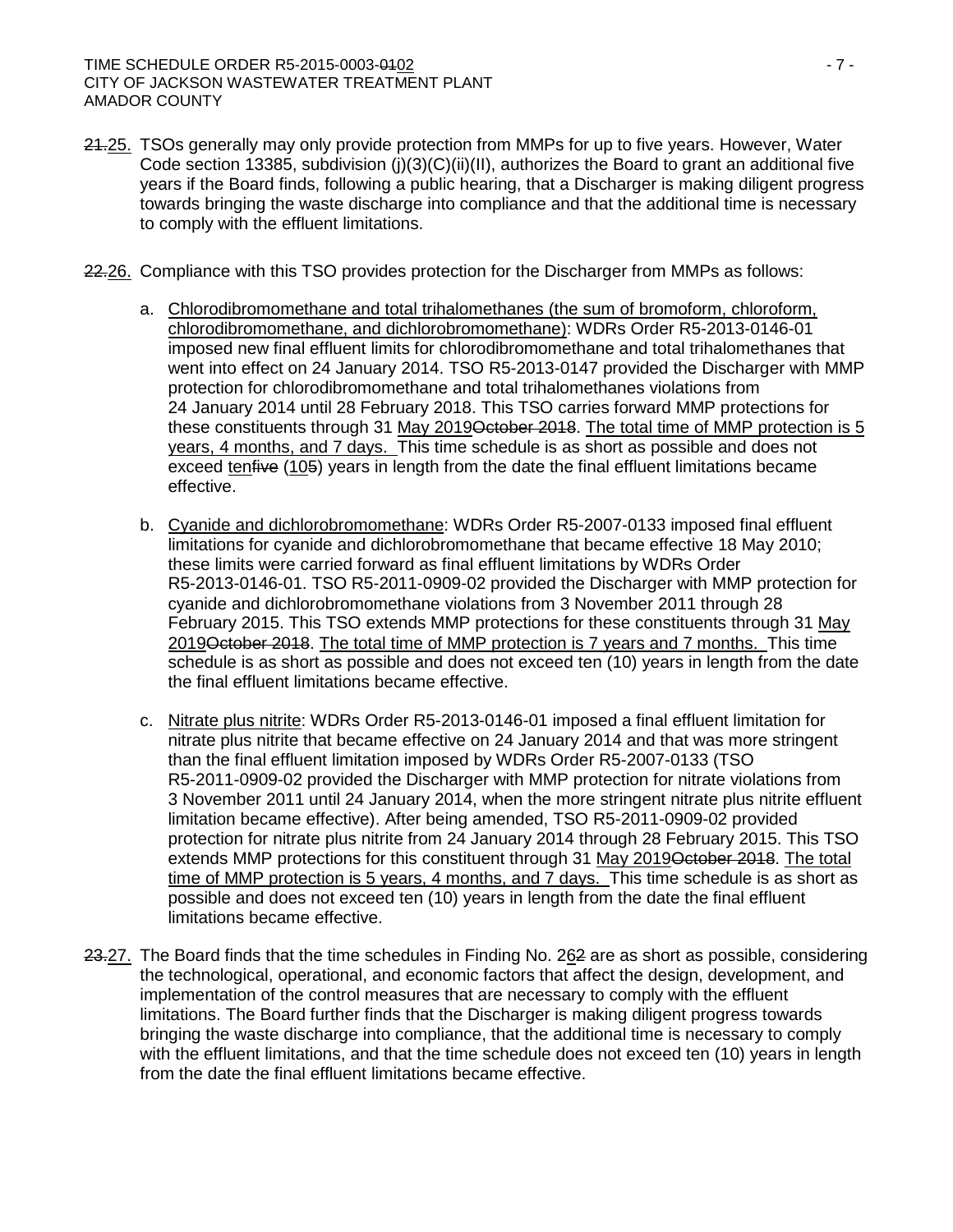- 24.25. TSOs generally may only provide protection from MMPs for up to five years. However, Water Code section 13385, subdivision ( $j(3)(C)(ii)(II)$ , authorizes the Board to grant an additional five years if the Board finds, following a public hearing, that a Discharger is making diligent progress towards bringing the waste discharge into compliance and that the additional time is necessary to comply with the effluent limitations.
- 22.26. Compliance with this TSO provides protection for the Discharger from MMPs as follows:
	- a. Chlorodibromomethane and total trihalomethanes (the sum of bromoform, chloroform, chlorodibromomethane, and dichlorobromomethane): WDRs Order R5-2013-0146-01 imposed new final effluent limits for chlorodibromomethane and total trihalomethanes that went into effect on 24 January 2014. TSO R5-2013-0147 provided the Discharger with MMP protection for chlorodibromomethane and total trihalomethanes violations from 24 January 2014 until 28 February 2018. This TSO carries forward MMP protections for these constituents through 31 May 2019 October 2018. The total time of MMP protection is 5 years, 4 months, and 7 days. This time schedule is as short as possible and does not exceed tenfive (105) years in length from the date the final effluent limitations became effective.
	- b. Cyanide and dichlorobromomethane: WDRs Order R5-2007-0133 imposed final effluent limitations for cyanide and dichlorobromomethane that became effective 18 May 2010; these limits were carried forward as final effluent limitations by WDRs Order R5-2013-0146-01. TSO R5-2011-0909-02 provided the Discharger with MMP protection for cyanide and dichlorobromomethane violations from 3 November 2011 through 28 February 2015. This TSO extends MMP protections for these constituents through 31 May 2019 October 2018. The total time of MMP protection is 7 years and 7 months. This time schedule is as short as possible and does not exceed ten (10) years in length from the date the final effluent limitations became effective.
	- c. Nitrate plus nitrite: WDRs Order R5-2013-0146-01 imposed a final effluent limitation for nitrate plus nitrite that became effective on 24 January 2014 and that was more stringent than the final effluent limitation imposed by WDRs Order R5-2007-0133 (TSO R5-2011-0909-02 provided the Discharger with MMP protection for nitrate violations from 3 November 2011 until 24 January 2014, when the more stringent nitrate plus nitrite effluent limitation became effective). After being amended, TSO R5-2011-0909-02 provided protection for nitrate plus nitrite from 24 January 2014 through 28 February 2015. This TSO extends MMP protections for this constituent through 31 May 2019<del>October 2018</del>. The total time of MMP protection is 5 years, 4 months, and 7 days. This time schedule is as short as possible and does not exceed ten (10) years in length from the date the final effluent limitations became effective.
- 23.27. The Board finds that the time schedules in Finding No. 262 are as short as possible, considering the technological, operational, and economic factors that affect the design, development, and implementation of the control measures that are necessary to comply with the effluent limitations. The Board further finds that the Discharger is making diligent progress towards bringing the waste discharge into compliance, that the additional time is necessary to comply with the effluent limitations, and that the time schedule does not exceed ten (10) years in length from the date the final effluent limitations became effective.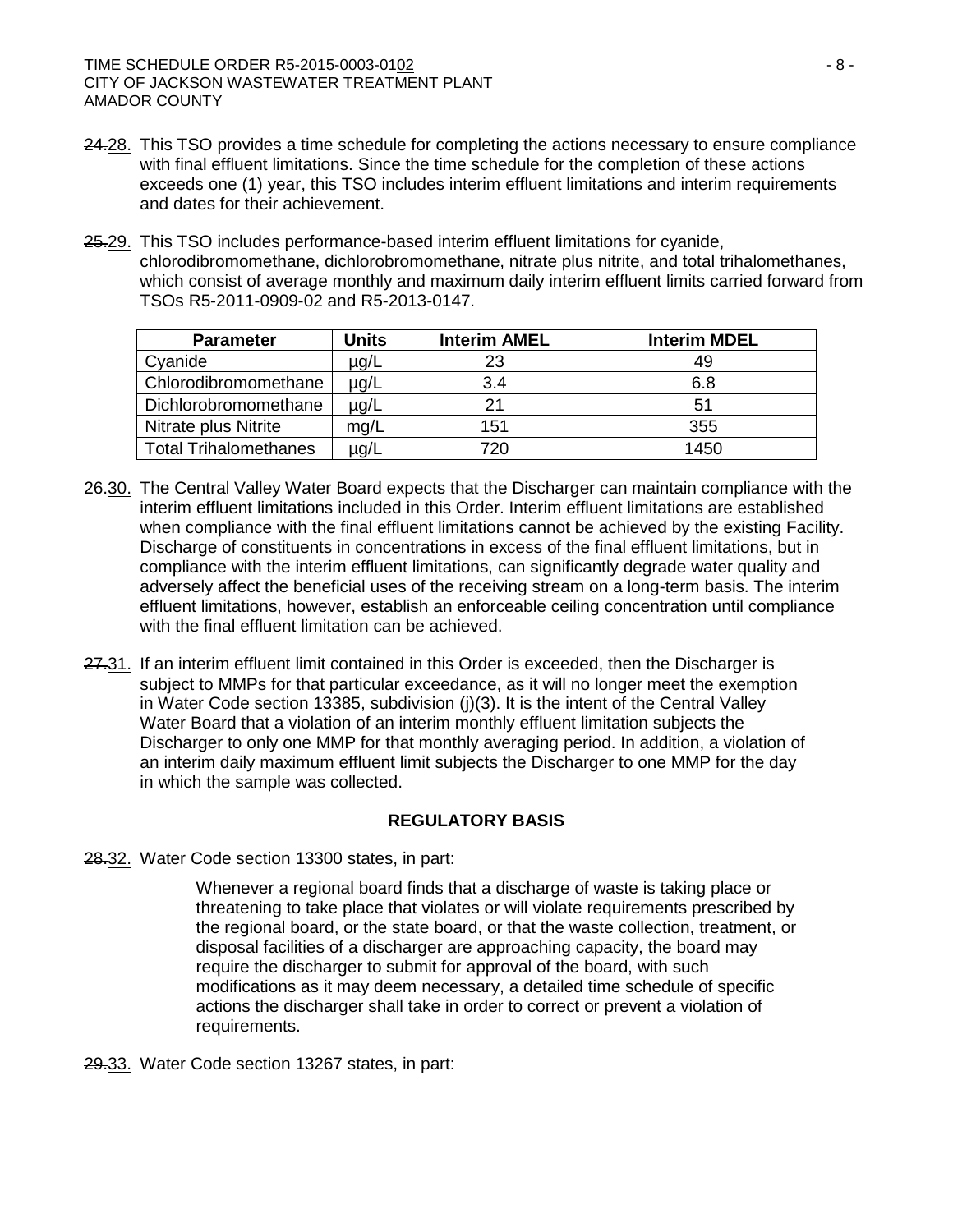- 24.28. This TSO provides a time schedule for completing the actions necessary to ensure compliance with final effluent limitations. Since the time schedule for the completion of these actions exceeds one (1) year, this TSO includes interim effluent limitations and interim requirements and dates for their achievement.
- 25.29. This TSO includes performance-based interim effluent limitations for cyanide, chlorodibromomethane, dichlorobromomethane, nitrate plus nitrite, and total trihalomethanes, which consist of average monthly and maximum daily interim effluent limits carried forward from TSOs R5-2011-0909-02 and R5-2013-0147.

| <b>Parameter</b>             | <b>Units</b> | <b>Interim AMEL</b> | <b>Interim MDEL</b> |
|------------------------------|--------------|---------------------|---------------------|
| Cyanide                      | $\mu$ g/L    | 23                  | 49                  |
| Chlorodibromomethane         | $\mu$ g/L    | 3.4                 | 6.8                 |
| Dichlorobromomethane         | $\mu$ g/L    | 21                  | 51                  |
| Nitrate plus Nitrite         | mg/L         | 151                 | 355                 |
| <b>Total Trihalomethanes</b> | µg/L         | 720                 | 1450                |

- 26.30. The Central Valley Water Board expects that the Discharger can maintain compliance with the interim effluent limitations included in this Order. Interim effluent limitations are established when compliance with the final effluent limitations cannot be achieved by the existing Facility. Discharge of constituents in concentrations in excess of the final effluent limitations, but in compliance with the interim effluent limitations, can significantly degrade water quality and adversely affect the beneficial uses of the receiving stream on a long-term basis. The interim effluent limitations, however, establish an enforceable ceiling concentration until compliance with the final effluent limitation can be achieved.
- 27.31. If an interim effluent limit contained in this Order is exceeded, then the Discharger is subject to MMPs for that particular exceedance, as it will no longer meet the exemption in Water Code section 13385, subdivision (j)(3). It is the intent of the Central Valley Water Board that a violation of an interim monthly effluent limitation subjects the Discharger to only one MMP for that monthly averaging period. In addition, a violation of an interim daily maximum effluent limit subjects the Discharger to one MMP for the day in which the sample was collected.

## **REGULATORY BASIS**

28.32. Water Code section 13300 states, in part:

Whenever a regional board finds that a discharge of waste is taking place or threatening to take place that violates or will violate requirements prescribed by the regional board, or the state board, or that the waste collection, treatment, or disposal facilities of a discharger are approaching capacity, the board may require the discharger to submit for approval of the board, with such modifications as it may deem necessary, a detailed time schedule of specific actions the discharger shall take in order to correct or prevent a violation of requirements.

29.33. Water Code section 13267 states, in part: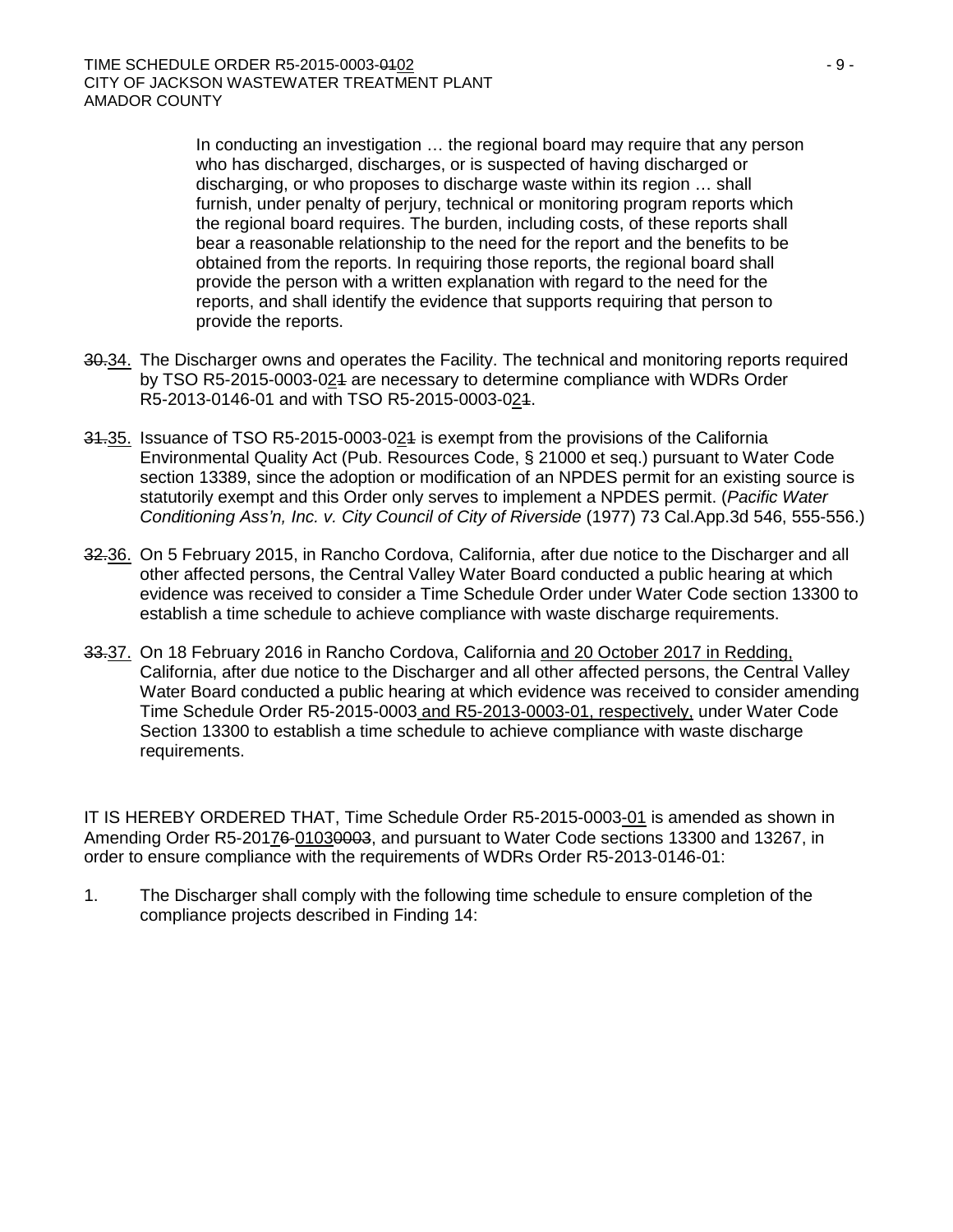In conducting an investigation … the regional board may require that any person who has discharged, discharges, or is suspected of having discharged or discharging, or who proposes to discharge waste within its region … shall furnish, under penalty of perjury, technical or monitoring program reports which the regional board requires. The burden, including costs, of these reports shall bear a reasonable relationship to the need for the report and the benefits to be obtained from the reports. In requiring those reports, the regional board shall provide the person with a written explanation with regard to the need for the reports, and shall identify the evidence that supports requiring that person to provide the reports.

- 30.34. The Discharger owns and operates the Facility. The technical and monitoring reports required by TSO R5-2015-0003-024 are necessary to determine compliance with WDRs Order R5-2013-0146-01 and with TSO R5-2015-0003-021.
- 31.35. Issuance of TSO R5-2015-0003-021 is exempt from the provisions of the California Environmental Quality Act (Pub. Resources Code, § 21000 et seq.) pursuant to Water Code section 13389, since the adoption or modification of an NPDES permit for an existing source is statutorily exempt and this Order only serves to implement a NPDES permit. (*Pacific Water Conditioning Ass'n, Inc. v. City Council of City of Riverside* (1977) 73 Cal.App.3d 546, 555-556.)
- 32.36. On 5 February 2015, in Rancho Cordova, California, after due notice to the Discharger and all other affected persons, the Central Valley Water Board conducted a public hearing at which evidence was received to consider a Time Schedule Order under Water Code section 13300 to establish a time schedule to achieve compliance with waste discharge requirements.
- 33.37. On 18 February 2016 in Rancho Cordova, California and 20 October 2017 in Redding, California, after due notice to the Discharger and all other affected persons, the Central Valley Water Board conducted a public hearing at which evidence was received to consider amending Time Schedule Order R5-2015-0003 and R5-2013-0003-01, respectively, under Water Code Section 13300 to establish a time schedule to achieve compliance with waste discharge requirements.

IT IS HEREBY ORDERED THAT, Time Schedule Order R5-2015-0003-01 is amended as shown in Amending Order R5-20176-01030003, and pursuant to Water Code sections 13300 and 13267, in order to ensure compliance with the requirements of WDRs Order R5-2013-0146-01:

1. The Discharger shall comply with the following time schedule to ensure completion of the compliance projects described in Finding 14: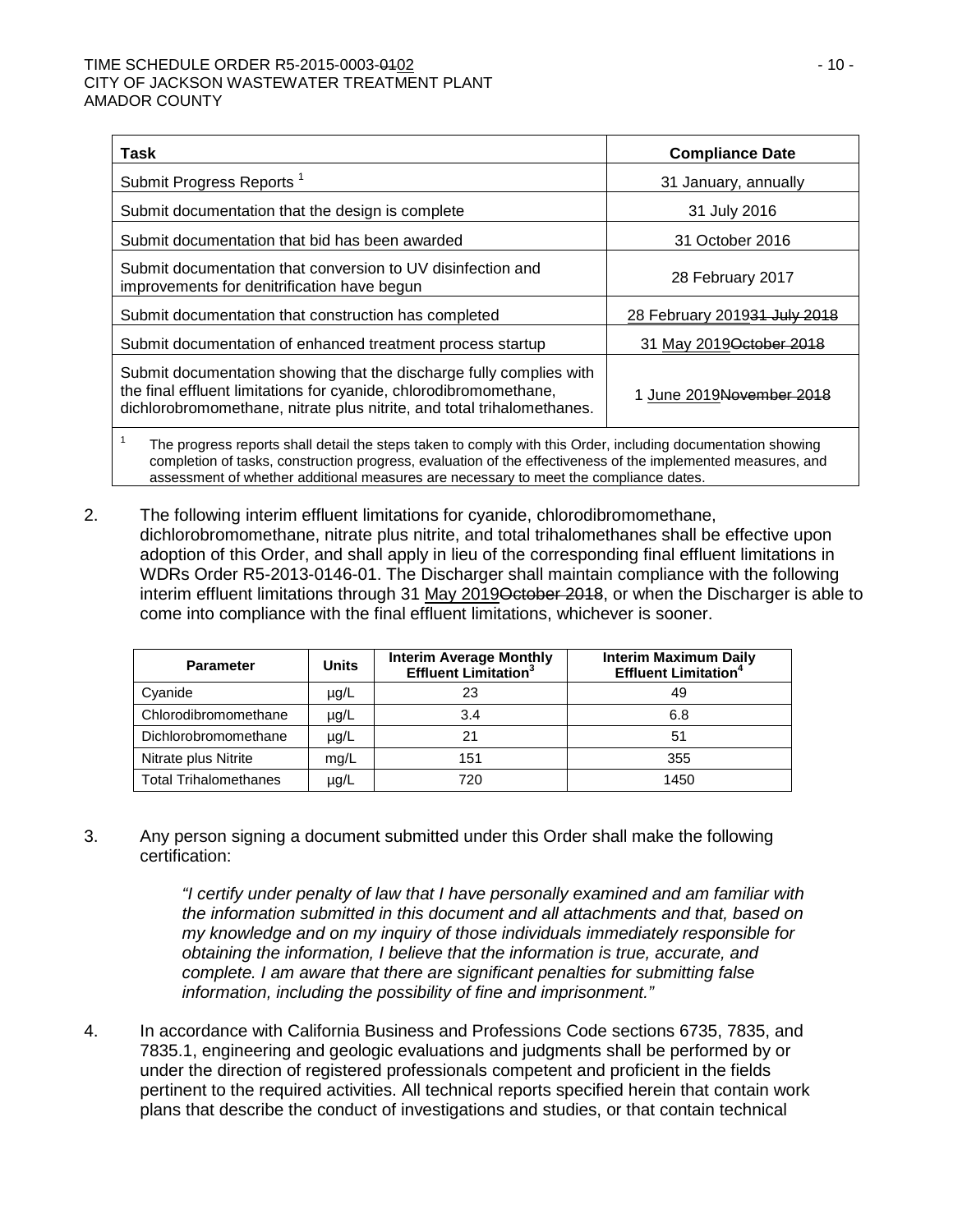### TIME SCHEDULE ORDER R5-2015-0003-0102 - 10 - CITY OF JACKSON WASTEWATER TREATMENT PLANT AMADOR COUNTY

| Task                                                                                                                                                                                                                         | <b>Compliance Date</b>               |  |  |
|------------------------------------------------------------------------------------------------------------------------------------------------------------------------------------------------------------------------------|--------------------------------------|--|--|
| Submit Progress Reports <sup>1</sup>                                                                                                                                                                                         | 31 January, annually                 |  |  |
| Submit documentation that the design is complete                                                                                                                                                                             | 31 July 2016                         |  |  |
| Submit documentation that bid has been awarded                                                                                                                                                                               | 31 October 2016                      |  |  |
| Submit documentation that conversion to UV disinfection and<br>improvements for denitrification have begun                                                                                                                   | 28 February 2017                     |  |  |
| Submit documentation that construction has completed                                                                                                                                                                         | 28 February 201931 July 2018         |  |  |
| Submit documentation of enhanced treatment process startup                                                                                                                                                                   | 31 May 2019 October 2018             |  |  |
| Submit documentation showing that the discharge fully complies with<br>the final effluent limitations for cyanide, chlorodibromomethane,<br>dichlorobromomethane, nitrate plus nitrite, and total trihalomethanes.           | 1 June 2019 <del>November 2018</del> |  |  |
| The progress reports shall detail the steps taken to comply with this Order, including documentation showing<br>completion of tasks, construction progress, evaluation of the effectiveness of the implemented measures, and |                                      |  |  |

assessment of whether additional measures are necessary to meet the compliance dates.

2. The following interim effluent limitations for cyanide, chlorodibromomethane, dichlorobromomethane, nitrate plus nitrite, and total trihalomethanes shall be effective upon adoption of this Order, and shall apply in lieu of the corresponding final effluent limitations in WDRs Order R5-2013-0146-01. The Discharger shall maintain compliance with the following interim effluent limitations through 31 May 2019<del>October 2018</del>, or when the Discharger is able to come into compliance with the final effluent limitations, whichever is sooner.

| <b>Parameter</b>             | <b>Units</b> | <b>Interim Average Monthly</b><br><b>Effluent Limitation<sup>3</sup></b> | <b>Interim Maximum Daily</b><br><b>Effluent Limitation<sup>4</sup></b> |
|------------------------------|--------------|--------------------------------------------------------------------------|------------------------------------------------------------------------|
| Cyanide                      | $\mu$ g/L    | 23                                                                       | 49                                                                     |
| Chlorodibromomethane         | µg/L         | 3.4                                                                      | 6.8                                                                    |
| Dichlorobromomethane         | µg/L         | 21                                                                       | 51                                                                     |
| Nitrate plus Nitrite         | mg/L         | 151                                                                      | 355                                                                    |
| <b>Total Trihalomethanes</b> | µg/L         | 720                                                                      | 1450                                                                   |

3. Any person signing a document submitted under this Order shall make the following certification:

> *"I certify under penalty of law that I have personally examined and am familiar with the information submitted in this document and all attachments and that, based on my knowledge and on my inquiry of those individuals immediately responsible for obtaining the information, I believe that the information is true, accurate, and complete. I am aware that there are significant penalties for submitting false information, including the possibility of fine and imprisonment."*

4. In accordance with California Business and Professions Code sections 6735, 7835, and 7835.1, engineering and geologic evaluations and judgments shall be performed by or under the direction of registered professionals competent and proficient in the fields pertinent to the required activities. All technical reports specified herein that contain work plans that describe the conduct of investigations and studies, or that contain technical